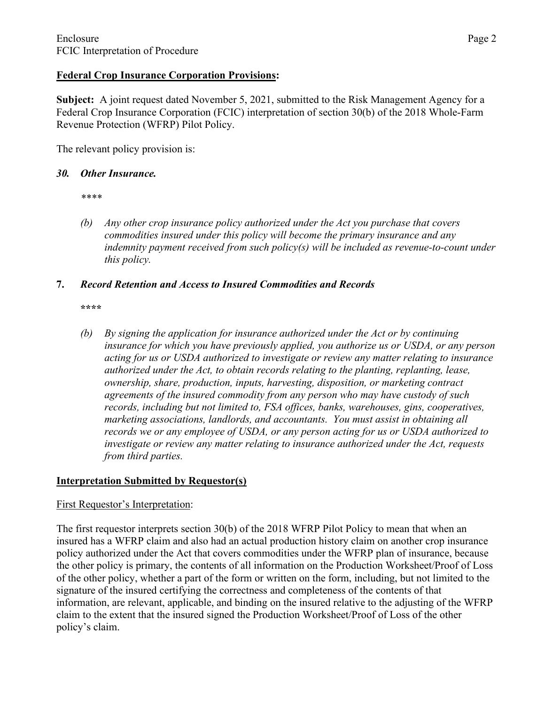## **Federal Crop Insurance Corporation Provisions:**

**Subject:** A joint request dated November 5, 2021, submitted to the Risk Management Agency for a Federal Crop Insurance Corporation (FCIC) interpretation of section 30(b) of the 2018 Whole-Farm Revenue Protection (WFRP) Pilot Policy.

The relevant policy provision is:

## *30. Other Insurance.*

*\*\*\*\**

*(b) Any other crop insurance policy authorized under the Act you purchase that covers commodities insured under this policy will become the primary insurance and any indemnity payment received from such policy(s) will be included as revenue-to-count under this policy.*

## **7.** *Record Retention and Access to Insured Commodities and Records*

**\*\*\*\***

*(b) By signing the application for insurance authorized under the Act or by continuing insurance for which you have previously applied, you authorize us or USDA, or any person acting for us or USDA authorized to investigate or review any matter relating to insurance authorized under the Act, to obtain records relating to the planting, replanting, lease, ownership, share, production, inputs, harvesting, disposition, or marketing contract agreements of the insured commodity from any person who may have custody of such records, including but not limited to, FSA offices, banks, warehouses, gins, cooperatives, marketing associations, landlords, and accountants. You must assist in obtaining all records we or any employee of USDA, or any person acting for us or USDA authorized to investigate or review any matter relating to insurance authorized under the Act, requests from third parties.*

# **Interpretation Submitted by Requestor(s)**

#### First Requestor's Interpretation:

The first requestor interprets section 30(b) of the 2018 WFRP Pilot Policy to mean that when an insured has a WFRP claim and also had an actual production history claim on another crop insurance policy authorized under the Act that covers commodities under the WFRP plan of insurance, because the other policy is primary, the contents of all information on the Production Worksheet/Proof of Loss of the other policy, whether a part of the form or written on the form, including, but not limited to the signature of the insured certifying the correctness and completeness of the contents of that information, are relevant, applicable, and binding on the insured relative to the adjusting of the WFRP claim to the extent that the insured signed the Production Worksheet/Proof of Loss of the other policy's claim.